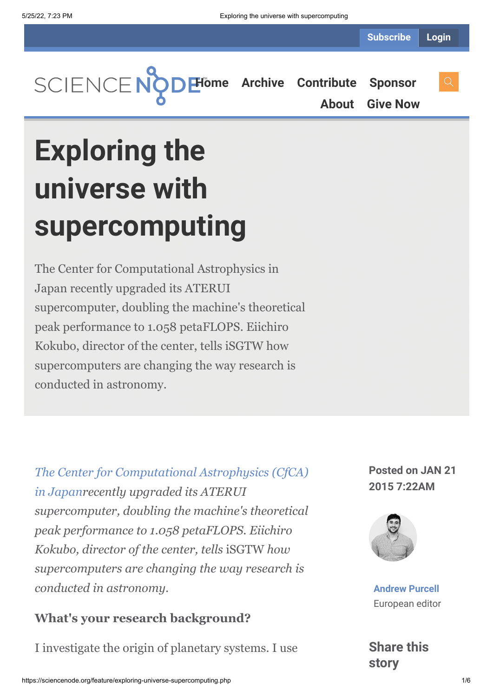

**[About](https://sciencenode.org/about/index.php) [Give Now](https://sciencenode.org/donate/index.php)**

# **Exploring the universe with supercomputing**

The Center for Computational Astrophysics in Japan recently upgraded its ATERUI supercomputer, doubling the machine's theoretical peak performance to 1.058 petaFLOPS. Eiichiro Kokubo, director of the center, tells iSGTW how supercomputers are changing the way research is conducted in astronomy.

*[The Center for Computational Astrophysics \(CfCA\)](http://www.cfca.nao.ac.jp/en) in Japanrecently upgraded its ATERUI supercomputer, doubling the machine's theoretical peak performance to 1.058 petaFLOPS. Eiichiro Kokubo, director of the center, tells* iSGTW *how supercomputers are changing the way research is conducted in astronomy.*

### **What's your research background?**

I investigate the origin of planetary systems. I use

**Posted on JAN 21 2015 7:22AM**



**[Andrew Purcell](https://sciencenode.org/author/andrew-purcell.php)** European editor

**Share this story**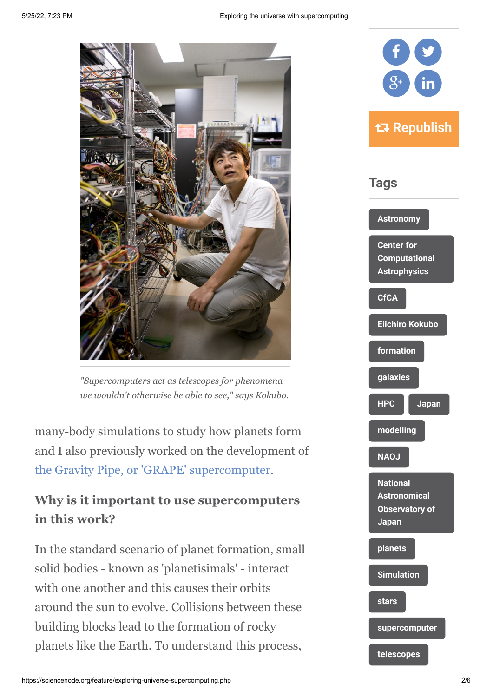

*"Supercomputers act as telescopes for phenomena we wouldn't otherwise be able to see," says Kokubo.*

many-body simulations to study how planets form and I also previously worked on the development of [the Gravity Pipe, or 'GRAPE' supercomputer.](http://en.wikipedia.org/wiki/Gravity_Pipe)

## **Why is it important to use supercomputers in this work?**

In the standard scenario of planet formation, small solid bodies - known as 'planetisimals' - interact with one another and this causes their orbits around the sun to evolve. Collisions between these building blocks lead to the formation of rocky planets like the Earth. To understand this process,

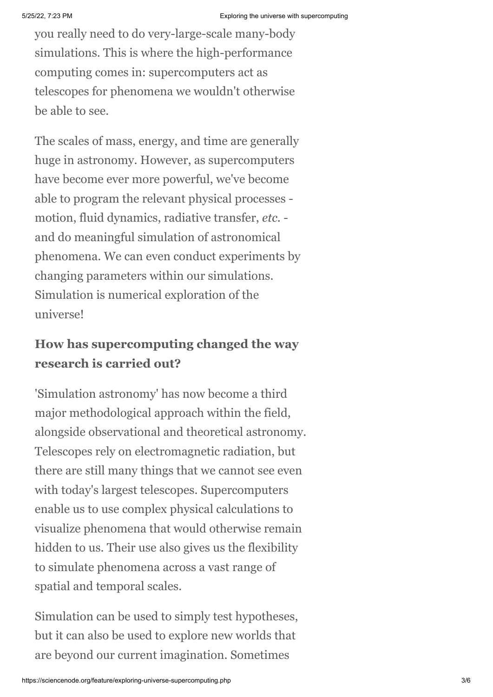you really need to do very-large-scale many-body simulations. This is where the high-performance computing comes in: supercomputers act as telescopes for phenomena we wouldn't otherwise be able to see.

The scales of mass, energy, and time are generally huge in astronomy. However, as supercomputers have become ever more powerful, we've become able to program the relevant physical processes motion, fluid dynamics, radiative transfer, *etc.* and do meaningful simulation of astronomical phenomena. We can even conduct experiments by changing parameters within our simulations. Simulation is numerical exploration of the universe!

## **How has supercomputing changed the way research is carried out?**

'Simulation astronomy' has now become a third major methodological approach within the field, alongside observational and theoretical astronomy. Telescopes rely on electromagnetic radiation, but there are still many things that we cannot see even with today's largest telescopes. Supercomputers enable us to use complex physical calculations to visualize phenomena that would otherwise remain hidden to us. Their use also gives us the flexibility to simulate phenomena across a vast range of spatial and temporal scales.

Simulation can be used to simply test hypotheses, but it can also be used to explore new worlds that are beyond our current imagination. Sometimes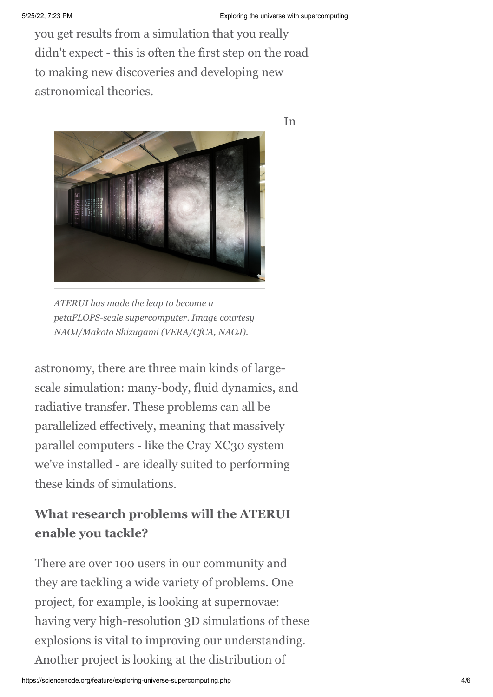In

you get results from a simulation that you really didn't expect - this is often the first step on the road to making new discoveries and developing new astronomical theories.



*ATERUI has made the leap to become a petaFLOPS-scale supercomputer. Image courtesy NAOJ/Makoto Shizugami (VERA/CfCA, NAOJ).*

astronomy, there are three main kinds of largescale simulation: many-body, fluid dynamics, and radiative transfer. These problems can all be parallelized effectively, meaning that massively parallel computers - like the Cray XC30 system we've installed - are ideally suited to performing these kinds of simulations.

## **What research problems will the ATERUI enable you tackle?**

There are over 100 users in our community and they are tackling a wide variety of problems. One project, for example, is looking at supernovae: having very high-resolution 3D simulations of these explosions is vital to improving our understanding. Another project is looking at the distribution of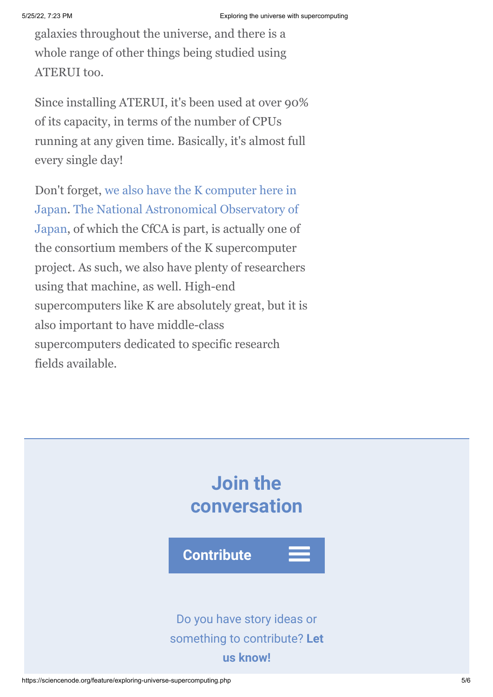galaxies throughout the universe, and there is a whole range of other things being studied using ATERUI too.

Since installing ATERUI, it's been used at over 90% of its capacity, in terms of the number of CPUs running at any given time. Basically, it's almost full every single day!

[Don't forget, we also have the K computer here in](http://www.aics.riken.jp/en/k-computer/about/) [Japan. The National Astronomical Observatory of](https://www.google.ch/url?sa=t&rct=j&q=&esrc=s&source=web&cd=1&cad=rja&uact=8&ved=0CCAQFjAA&url=http%3A%2F%2Fwww.nao.ac.jp%2Fen%2F&ei=arCJVIDgC4KuaaDUgdAG&usg=AFQjCNHmhOVgrZj7_9yiv3s-VbenEGpmpw&bvm=bv.81456516,d.d2s) Japan, of which the CfCA is part, is actually one of the consortium members of the K supercomputer project. As such, we also have plenty of researchers using that machine, as well. High-end supercomputers like K are absolutely great, but it is also important to have middle-class supercomputers dedicated to specific research fields available.